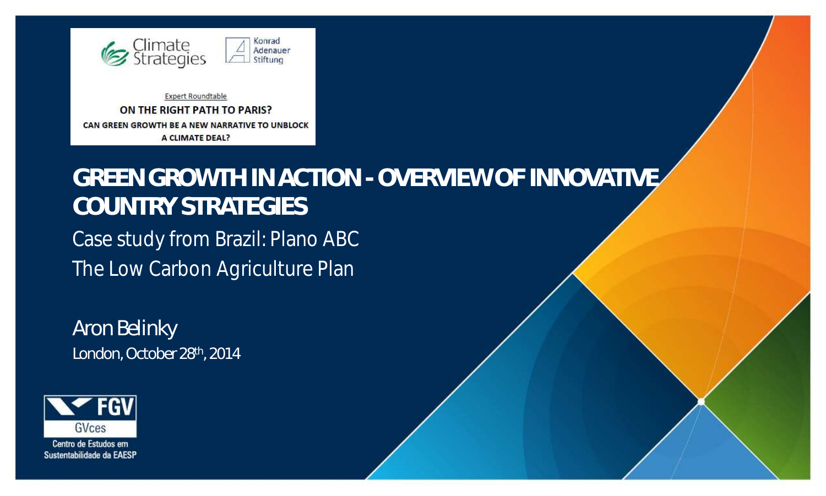

**Expert Roundtable** ON THE RIGHT PATH TO PARIS? CAN GREEN GROWTH BE A NEW NARRATIVE TO UNBLOCK **A CLIMATE DEAL?** 

#### **GREEN GROWTH IN ACTION - OVERVIEW OF INNOVATIVE COUNTRY STRATEGIES** Case study from Brazil: Plano ABC The Low Carbon Agriculture Plan

*Aron Belinky London, October 28th, 2014*



Centro de Estudos em Sustentabilidade da EAESP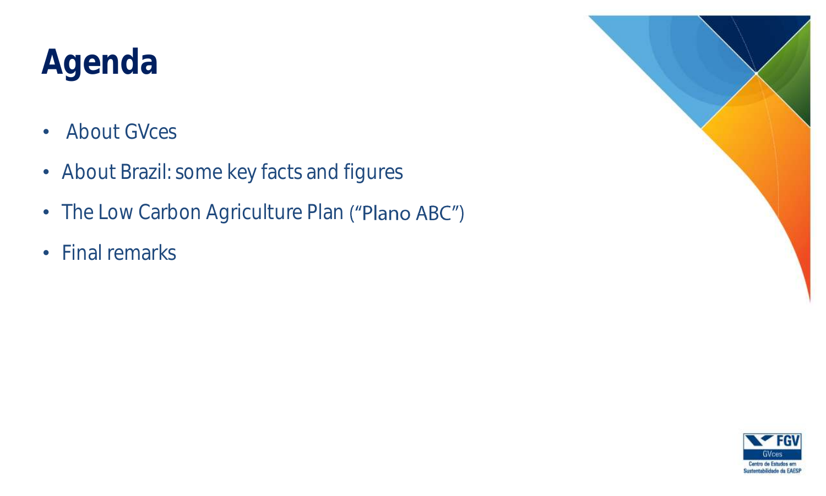# Agenda

- About GVces
- About Brazil: some key facts and figures
- The Low Carbon Agriculture Plan ("Plano ABC")
- Final remarks



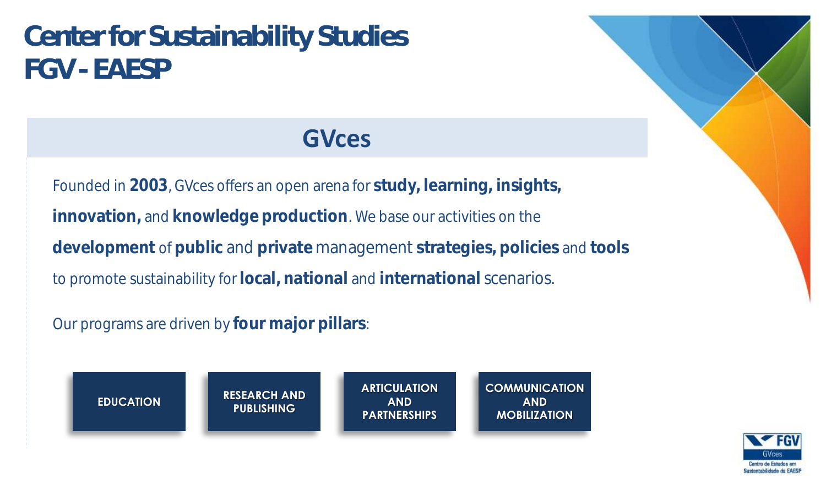#### **Center for Sustainability Studies FGV - EAESP**

#### **GVces**

Founded in **2003**, GVces offers an open arena for **study, learning, insights, innovation,** and **knowledge production**. We base our activities on the **development** of **public** and **private** management **strategies, policies** and **tools** to promote sustainability for **local, national** and **international** scenarios.

Our programs are driven by **four major pillars**:



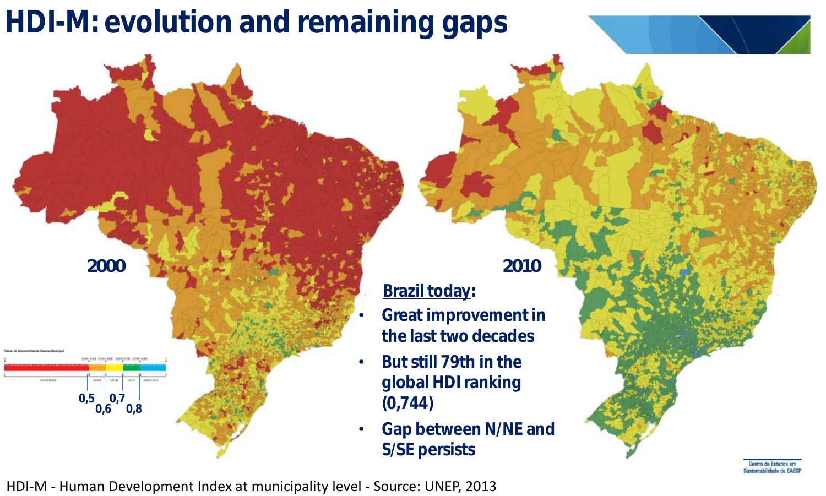### HDI-M: evolution and remaining gaps



Brazil today:

- Great improvement in the last two decades
- But still 79th in the global HDI ranking (0,744)
- Gap between N/NE and S/SE persists

HDI-M - Human Development Index at municipality level - Source: UNEP, 2013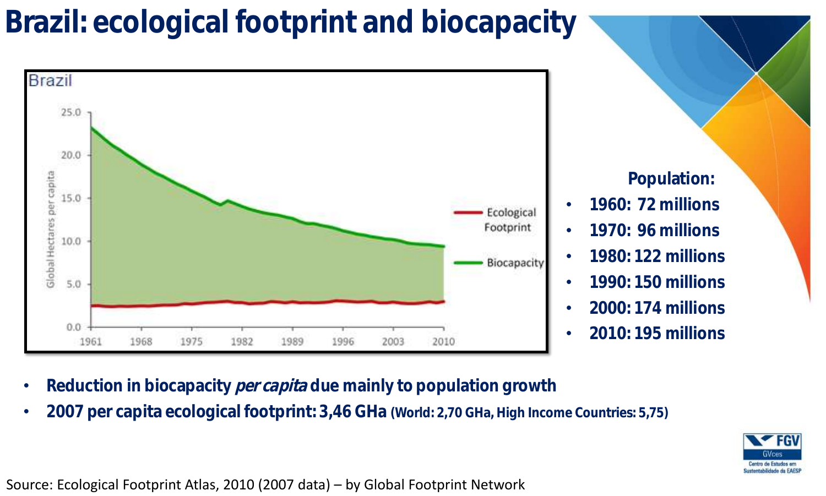#### Brazil: ecological footprint and biocapacity



Population:

- 1960: 72 millions
- 1970: 96 millions
- 1980: 122 millions
- 1990: 150 millions
- 2000: 174 millions
- 2010: 195 millions
- Reduction in biocapacity per capita due mainly to population growth
- 2007 per capita ecological footprint: 3,46 GHa (World: 2,70 GHa, High Income Countries: 5,75)



Source: Ecological Footprint Atlas, 2010 (2007 data) – by Global Footprint Network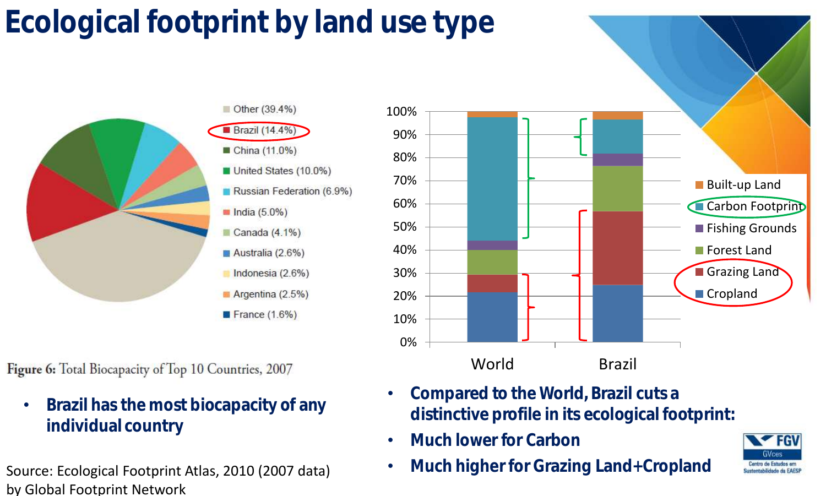## Ecological footprint by land use type



Figure 6: Total Biocapacity of Top 10 Countries, 2007

- Brazil has the most biocapacity of any individual country
- Source: Ecological Footprint Atlas, 2010 (2007 data) by Global Footprint Network



- Compared to the World, Brazil cuts a distinctive profile in its ecological footprint:
- Much lower for Carbon
- Much higher for Grazing Land+Cropland

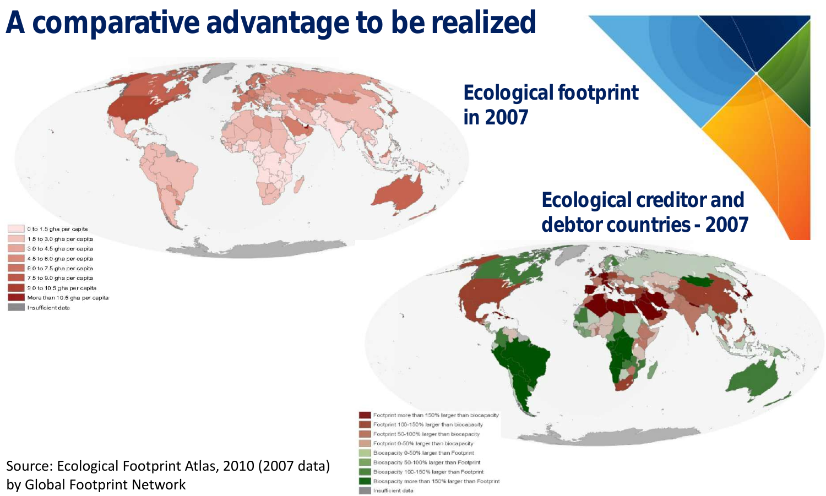#### A comparative advantage to be realized

Ecological footprint in 2007

#### Ecological creditor and debtor countries - 2007

Footprint more than 150% larger than biocapacity Footprint 100-150% larger than biocapacity ootprint 50-100% larger than biocapacity Footprint 0-50% larger than biocapacity Biocapacity 0-50% larger than Footprint Biocapacity 50-100% larger than Footprint Biocapacity 100-150% larger than Footprint Biocapacity more than 150% larger than Footprint Insufficient data

to 1.5 gha per capita 1.5 to 3.0 gha per capita 3.0 to 4.5 gha per capital 4.5 to 6.0 gha per capita .0 to 7.5 gha per capita 5 to 9.0 gha per capita .0 to 10.5 gha per capita More than 10.5 gha per capita nsufficient data

Source: Ecological Footprint Atlas, 2010 (2007 data) by Global Footprint Network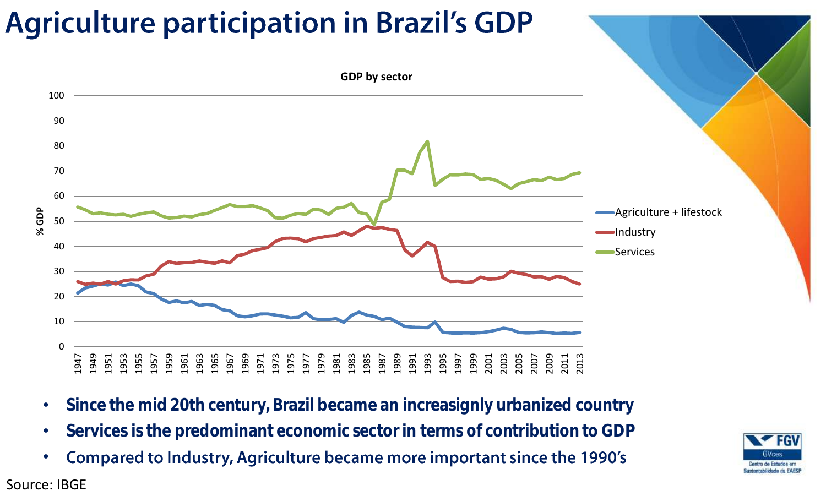#### **Agriculture participation in Brazil's GDP**



- Since the mid 20th century, Brazil became an increasignly urbanized country
- Services is the predominant economic sector in terms of contribution to GDP
- Compared to Industry, Agriculture became more important since the 1990's •



#### Source: IBGE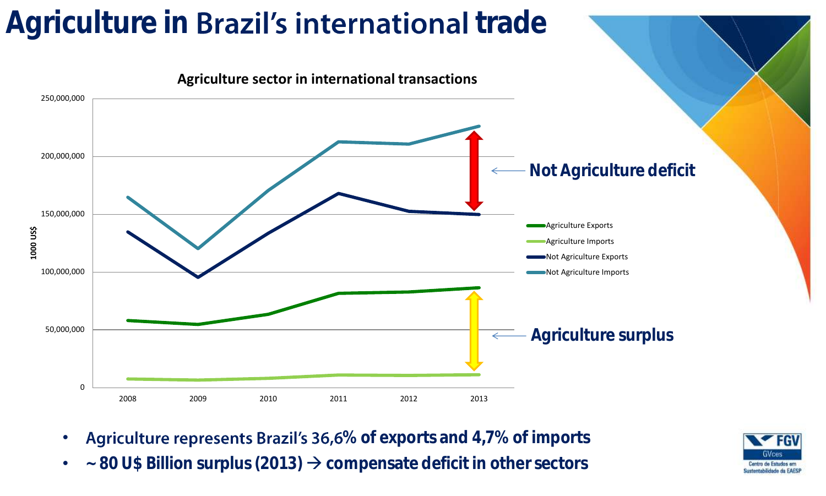#### Agriculture in **Brazil's international** trade



- Agriculture represents Brazil's 36,6% of exports and 4,7% of imports
- $\sim$  80 U\$ Billion surplus (2013)  $\rightarrow$  compensate deficit in other sectors

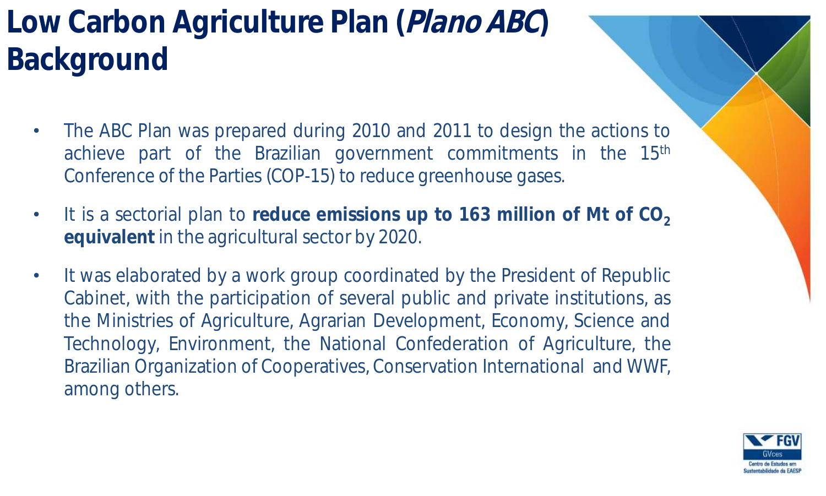### Low Carbon Agriculture Plan (Plano ABC) Background

- The ABC Plan was prepared during 2010 and 2011 to design the actions to achieve part of the Brazilian government commitments in the 15<sup>th</sup> Conference of the Parties (COP-15) to reduce greenhouse gases.
- It is a sectorial plan to **reduce emissions up to 163 million of Mt of CO<sup>2</sup> equivalent** in the agricultural sector by 2020.
- It was elaborated by a work group coordinated by the President of Republic Cabinet, with the participation of several public and private institutions, as the Ministries of Agriculture, Agrarian Development, Economy, Science and Technology, Environment, the National Confederation of Agriculture, the Brazilian Organization of Cooperatives, Conservation International and WWF, among others.

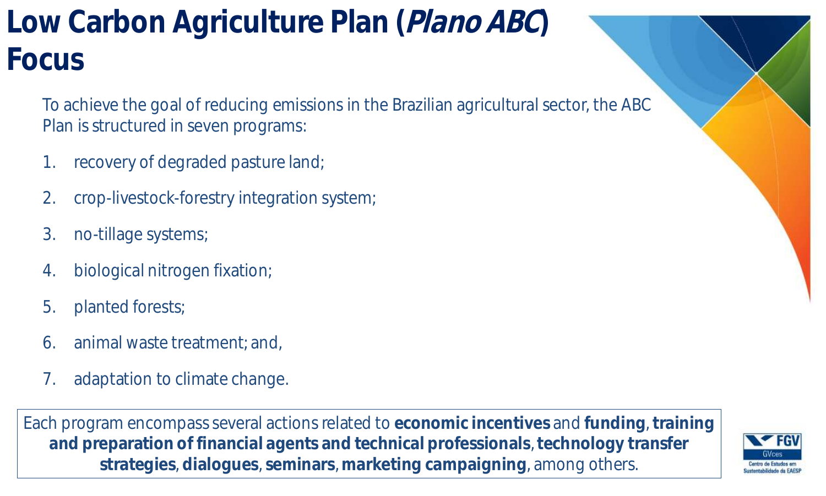## Low Carbon Agriculture Plan (Plano ABC) Focus

To achieve the goal of reducing emissions in the Brazilian agricultural sector, the ABC Plan is structured in seven programs:

- 1. recovery of degraded pasture land;
- 2. crop-livestock-forestry integration system;
- 3. no-tillage systems;
- 4. biological nitrogen fixation;
- 5. planted forests;
- 6. animal waste treatment; and,
- 7. adaptation to climate change.

Each program encompass several actions related to **economic incentives** and **funding**, **training and preparation of financial agents and technical professionals**, **technology transfer strategies**, **dialogues**, **seminars**, **marketing campaigning**, among others.

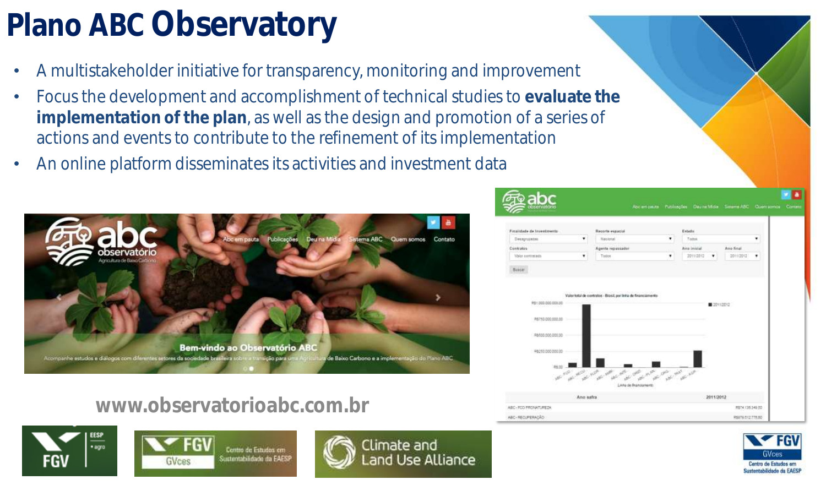## Plano ABC Observatory

- A multistakeholder initiative for transparency, monitoring and improvement
- Focus the development and accomplishment of technical studies to **evaluate the implementation of the plan**, as well as the design and promotion of a series of actions and events to contribute to the refinement of its implementation
- An online platform disseminates its activities and investment data



#### **Documentos Punicaçãos Daura Mida Sasana ARC Ouemannos Co** Electricity de Incentivism **Report Follows Baltimore** Desagrupates **Marinez** Contratos Area Indebt Ann final **Video continues** boyunter.  $20002002$ Valor total de contratos - Brasil, por linha de financiamento 9111 300 000 000 00 P6750.000.000 **BMAR-505 000 M** Ann aufer 2011/2012 ABC-ROOFBOARLBEN 0824110340-00

#### **www.observatorioabc.com.br**



Contro de Estudos em ustentabilidade da FAES ivees



ABC-RECUPERADÃO



R5070 512 775 N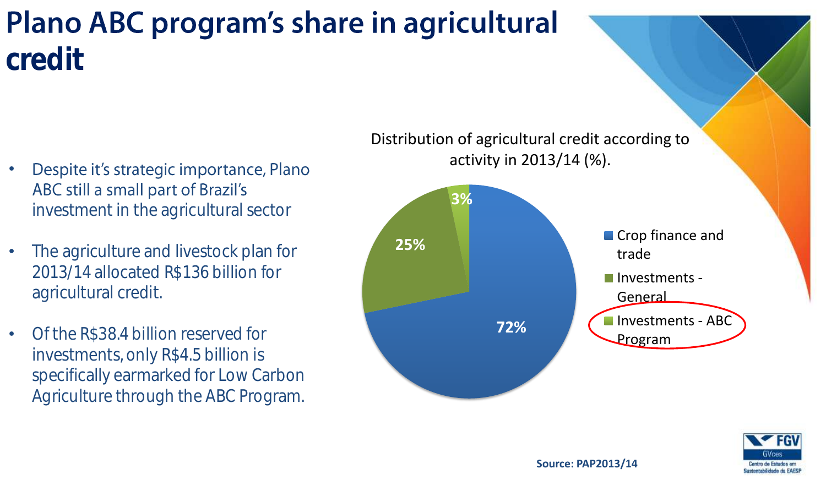#### **Plano ABC program's share in agricultural** credit

- Despite it's strategic importance, Plano ABC still a small part of Brazil's investment in the agricultural sector
- The agriculture and livestock plan for 2013/14 allocated R\$136 billion for agricultural credit.
- Of the R\$38.4 billion reserved for investments, only R\$4.5 billion is specifically earmarked for Low Carbon Agriculture through the ABC Program.





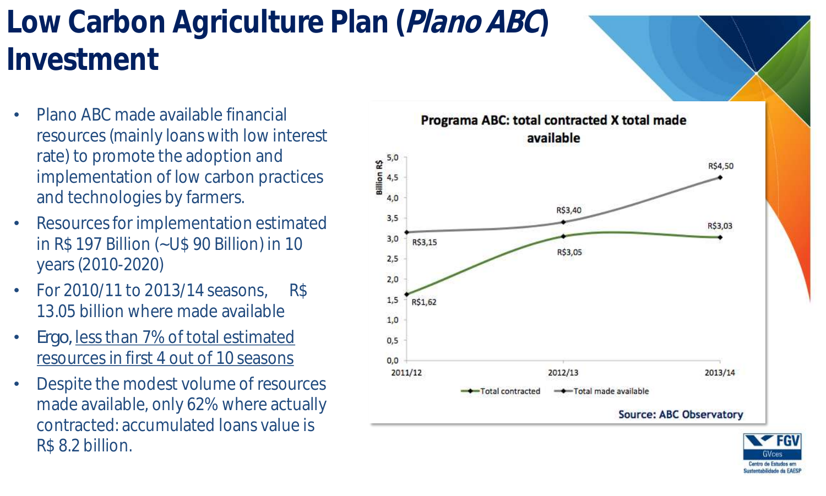### Low Carbon Agriculture Plan (Plano ABC) Investment

- Plano ABC made available financial resources (mainly loans with low interest rate) to promote the adoption and implementation of low carbon practices and technologies by farmers.
- Resources for implementation estimated in R\$ 197 Billion (~U\$ 90 Billion) in 10 years (2010-2020)
- For 2010/11 to 2013/14 seasons, R\$ 13.05 billion where made available
- *Ergo,* less than 7% of total estimated resources in first 4 out of 10 seasons
- Despite the modest volume of resources made available, only 62% where actually contracted: accumulated loans value is R\$ 8.2 billion.



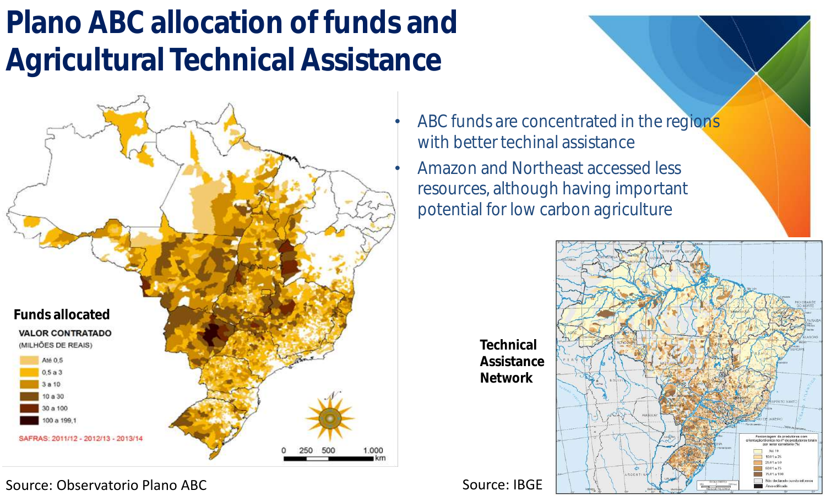## Plano ABC allocation of funds and Agricultural Technical Assistance



Source: Observatorio Plano ABC Source: IBGE

- ABC funds are concentrated in the regions with better techinal assistance
- Amazon and Northeast accessed less resources, although having important potential for low carbon agriculture



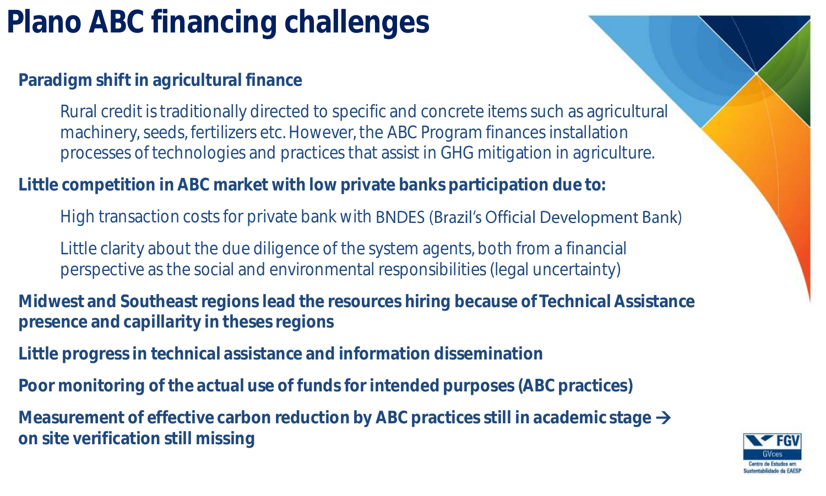## Plano ABC financing challenges

**Paradigm shift in agricultural finance**

Rural credit is traditionally directed to specific and concrete items such as agricultural machinery, seeds, fertilizers etc. However, the ABC Program finances installation processes of technologies and practices that assist in GHG mitigation in agriculture.

**Little competition in ABC market with low private banks participation due to:**

High transaction costs for private bank with **BNDES (Brazil's Official Development Bank)** 

Little clarity about the due diligence of the system agents, both from a financial perspective as the social and environmental responsibilities (legal uncertainty)

**Midwest and Southeast regions lead the resources hiring because of Technical Assistance presence and capillarity in theses regions**

**Little progress in technical assistance and information dissemination**

**Poor monitoring of the actual use of funds for intended purposes (ABC practices)**

**Measurement of effective carbon reduction by ABC practices still in academic stage on site verification still missing**

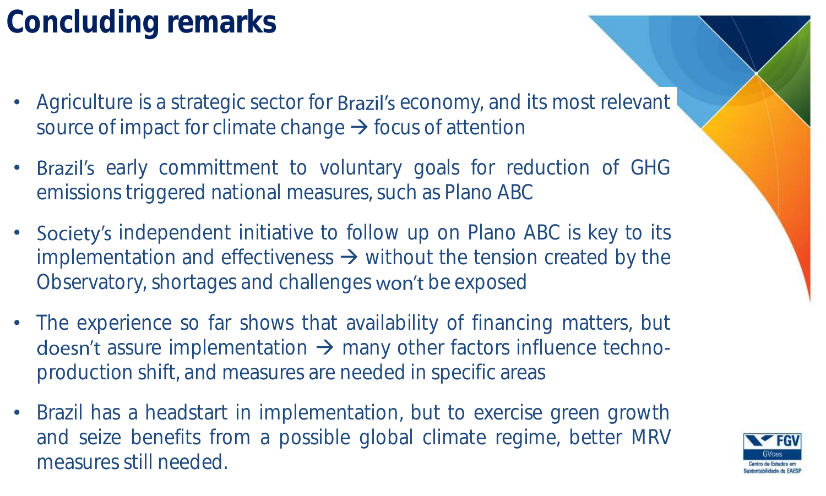## Concluding remarks

- Agriculture is a strategic sector for **Brazil's** economy, and its most relevant source of impact for climate change  $\rightarrow$  focus of attention
- Brazil's early committment to voluntary goals for reduction of GHG emissions triggered national measures, such as Plano ABC
- Society's independent initiative to follow up on Plano ABC is key to its implementation and effectiveness  $\rightarrow$  without the tension created by the Observatory, shortages and challenges won't be exposed
- The experience so far shows that availability of financing matters, but doesn't assure implementation  $\rightarrow$  many other factors influence technoproduction shift, and measures are needed in specific areas
- Brazil has a headstart in implementation, but to exercise green growth and seize benefits from a possible global climate regime, better MRV measures still needed.